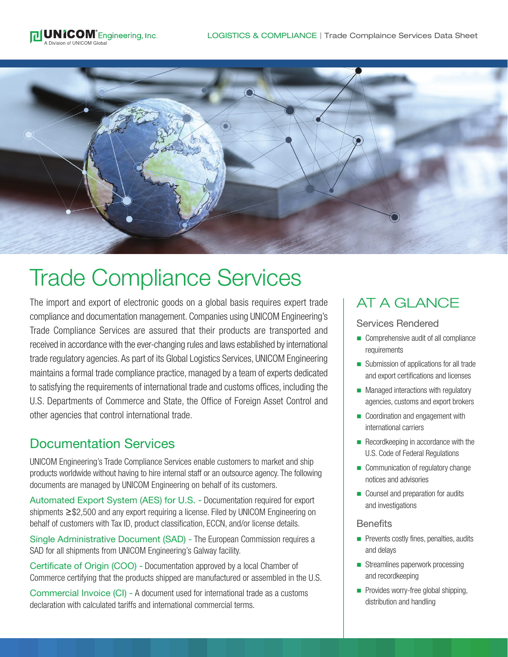



# Trade Compliance Services

The import and export of electronic goods on a global basis requires expert trade compliance and documentation management. Companies using UNICOM Engineering's Trade Compliance Services are assured that their products are transported and received in accordance with the ever-changing rules and laws established by international trade regulatory agencies. As part of its Global Logistics Services, UNICOM Engineering maintains a formal trade compliance practice, managed by a team of experts dedicated to satisfying the requirements of international trade and customs offices, including the U.S. Departments of Commerce and State, the Office of Foreign Asset Control and other agencies that control international trade.

## Documentation Services

UNICOM Engineering's Trade Compliance Services enable customers to market and ship products worldwide without having to hire internal staff or an outsource agency. The following documents are managed by UNICOM Engineering on behalf of its customers.

Automated Export System (AES) for U.S. - Documentation required for export shipments ≥\$2,500 and any export requiring a license. Filed by UNICOM Engineering on behalf of customers with Tax ID, product classification, ECCN, and/or license details.

Single Administrative Document (SAD) - The European Commission requires a SAD for all shipments from UNICOM Engineering's Galway facility.

Certificate of Origin (COO) - Documentation approved by a local Chamber of Commerce certifying that the products shipped are manufactured or assembled in the U.S.

Commercial Invoice (CI) - A document used for international trade as a customs declaration with calculated tariffs and international commercial terms.

# AT A GLANCE

#### Services Rendered

- **n** Comprehensive audit of all compliance requirements
- Submission of applications for all trade and export certifications and licenses
- **n** Managed interactions with regulatory agencies, customs and export brokers
- Coordination and engagement with international carriers
- $\blacksquare$  Recordkeeping in accordance with the U.S. Code of Federal Regulations
- Communication of regulatory change notices and advisories
- Counsel and preparation for audits and investigations

#### **Benefits**

- $\blacksquare$  Prevents costly fines, penalties, audits and delays
- $\blacksquare$  Streamlines paperwork processing and recordkeeping
- **n** Provides worry-free global shipping, distribution and handling